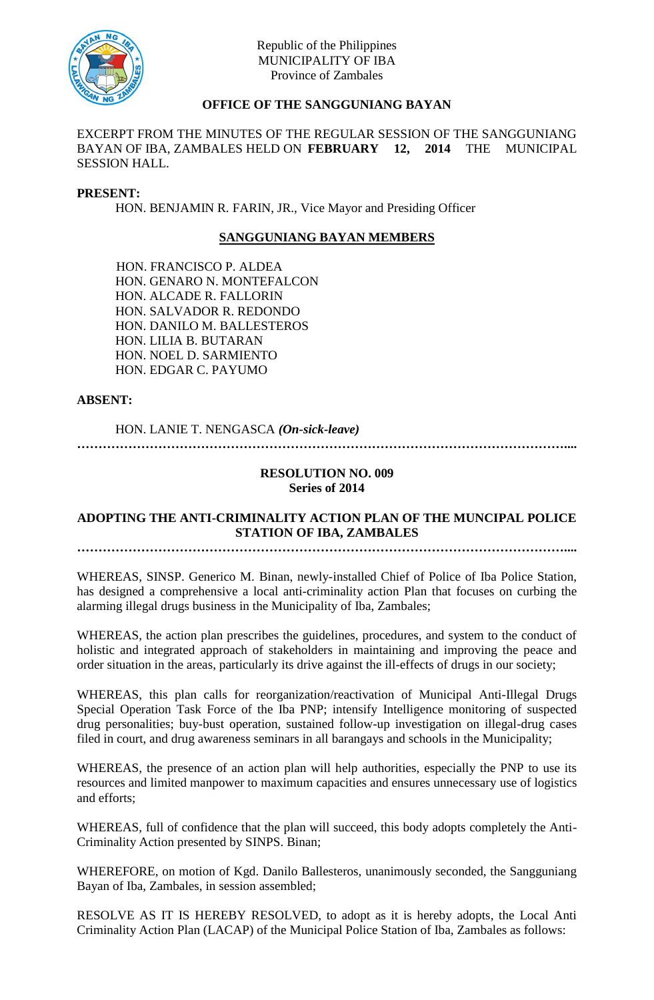

# **OFFICE OF THE SANGGUNIANG BAYAN**

EXCERPT FROM THE MINUTES OF THE REGULAR SESSION OF THE SANGGUNIANG BAYAN OF IBA, ZAMBALES HELD ON **FEBRUARY 12, 2014** THE MUNICIPAL SESSION HALL.

#### **PRESENT:**

HON. BENJAMIN R. FARIN, JR., Vice Mayor and Presiding Officer

## **SANGGUNIANG BAYAN MEMBERS**

HON. FRANCISCO P. ALDEA HON. GENARO N. MONTEFALCON HON. ALCADE R. FALLORIN HON. SALVADOR R. REDONDO HON. DANILO M. BALLESTEROS HON. LILIA B. BUTARAN HON. NOEL D. SARMIENTO HON. EDGAR C. PAYUMO

**ABSENT:**

HON. LANIE T. NENGASCA *(On-sick-leave)*

**……………………………………………………………………………………………………....**

#### **RESOLUTION NO. 009 Series of 2014**

# **ADOPTING THE ANTI-CRIMINALITY ACTION PLAN OF THE MUNCIPAL POLICE STATION OF IBA, ZAMBALES**

**……………………………………………………………………………………………………....**

WHEREAS, SINSP. Generico M. Binan, newly-installed Chief of Police of Iba Police Station, has designed a comprehensive a local anti-criminality action Plan that focuses on curbing the alarming illegal drugs business in the Municipality of Iba, Zambales;

WHEREAS, the action plan prescribes the guidelines, procedures, and system to the conduct of holistic and integrated approach of stakeholders in maintaining and improving the peace and order situation in the areas, particularly its drive against the ill-effects of drugs in our society;

WHEREAS, this plan calls for reorganization/reactivation of Municipal Anti-Illegal Drugs Special Operation Task Force of the Iba PNP; intensify Intelligence monitoring of suspected drug personalities; buy-bust operation, sustained follow-up investigation on illegal-drug cases filed in court, and drug awareness seminars in all barangays and schools in the Municipality;

WHEREAS, the presence of an action plan will help authorities, especially the PNP to use its resources and limited manpower to maximum capacities and ensures unnecessary use of logistics and efforts;

WHEREAS, full of confidence that the plan will succeed, this body adopts completely the Anti-Criminality Action presented by SINPS. Binan;

WHEREFORE, on motion of Kgd. Danilo Ballesteros, unanimously seconded, the Sangguniang Bayan of Iba, Zambales, in session assembled;

RESOLVE AS IT IS HEREBY RESOLVED, to adopt as it is hereby adopts, the Local Anti Criminality Action Plan (LACAP) of the Municipal Police Station of Iba, Zambales as follows: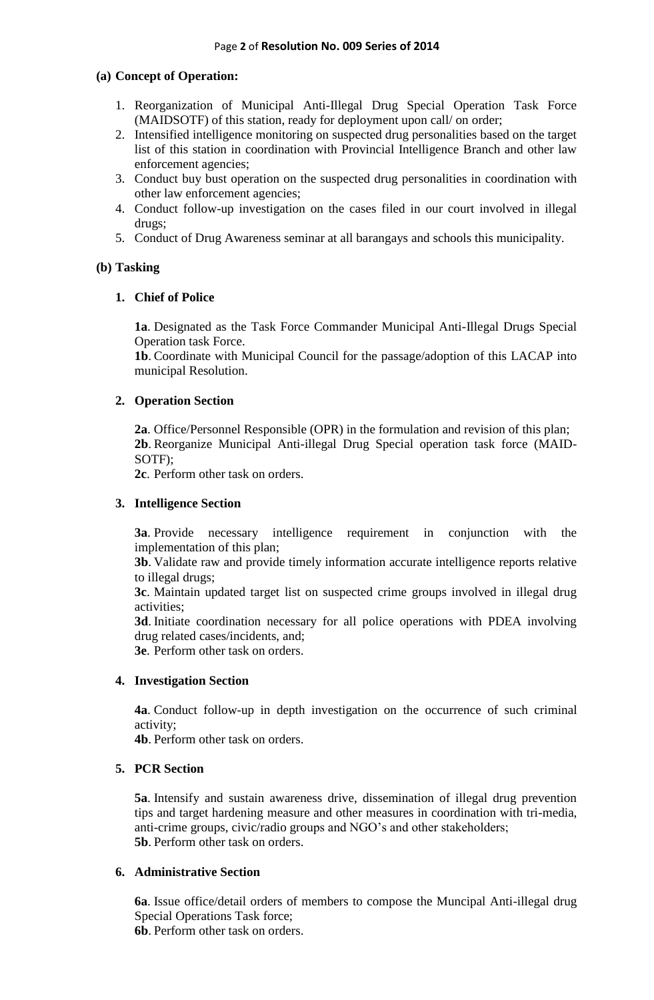#### **(a) Concept of Operation:**

- 1. Reorganization of Municipal Anti-Illegal Drug Special Operation Task Force (MAIDSOTF) of this station, ready for deployment upon call/ on order;
- 2. Intensified intelligence monitoring on suspected drug personalities based on the target list of this station in coordination with Provincial Intelligence Branch and other law enforcement agencies;
- 3. Conduct buy bust operation on the suspected drug personalities in coordination with other law enforcement agencies;
- 4. Conduct follow-up investigation on the cases filed in our court involved in illegal drugs;
- 5. Conduct of Drug Awareness seminar at all barangays and schools this municipality.

#### **(b) Tasking**

#### **1. Chief of Police**

**1a**. Designated as the Task Force Commander Municipal Anti-Illegal Drugs Special Operation task Force.

**1b**. Coordinate with Municipal Council for the passage/adoption of this LACAP into municipal Resolution.

#### **2. Operation Section**

**2a**. Office/Personnel Responsible (OPR) in the formulation and revision of this plan; **2b**. Reorganize Municipal Anti-illegal Drug Special operation task force (MAID-SOTF);

**2c**. Perform other task on orders.

#### **3. Intelligence Section**

**3a**. Provide necessary intelligence requirement in conjunction with the implementation of this plan;

**3b**. Validate raw and provide timely information accurate intelligence reports relative to illegal drugs;

**3c**. Maintain updated target list on suspected crime groups involved in illegal drug activities;

**3d**. Initiate coordination necessary for all police operations with PDEA involving drug related cases/incidents, and;

**3e**. Perform other task on orders.

#### **4. Investigation Section**

**4a**. Conduct follow-up in depth investigation on the occurrence of such criminal activity;

**4b**. Perform other task on orders.

## **5. PCR Section**

**5a**. Intensify and sustain awareness drive, dissemination of illegal drug prevention tips and target hardening measure and other measures in coordination with tri-media, anti-crime groups, civic/radio groups and NGO's and other stakeholders; **5b**. Perform other task on orders.

#### **6. Administrative Section**

**6a**. Issue office/detail orders of members to compose the Muncipal Anti-illegal drug Special Operations Task force;

**6b**. Perform other task on orders.